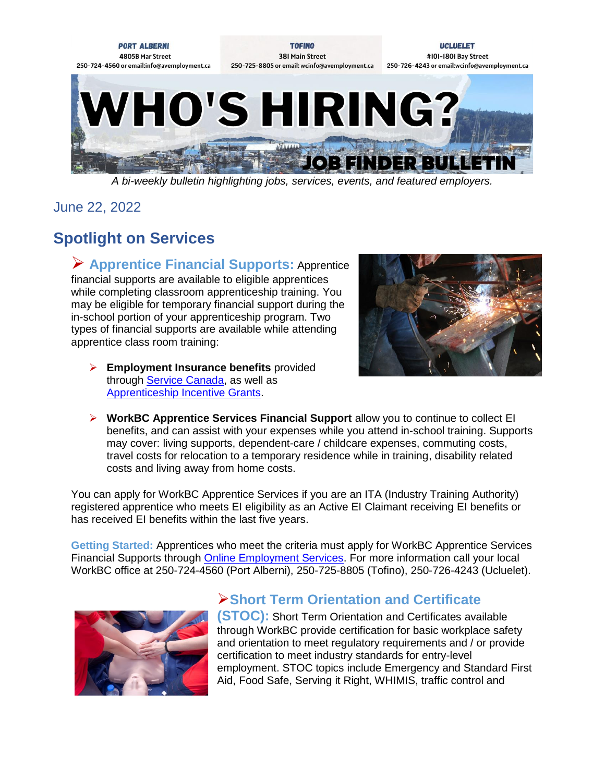

*A bi-weekly bulletin highlighting jobs, services, events, and featured employers.*

June 22, 2022

# **Spotlight on Services**

 **Apprentice Financial Supports:** Apprentice financial supports are available to eligible apprentices while completing classroom apprenticeship training. You may be eligible for temporary financial support during the in-school portion of your apprenticeship program. Two types of financial supports are available while attending apprentice class room training:

 **Employment Insurance benefits** provided through [Service Canada,](https://www.canada.ca/en/employment-social-development/corporate/portfolio/service-canada.html) as well as [Apprenticeship Incentive Grants.](https://www.canada.ca/en/services/jobs/training/support-skilled-trades-apprentices/grants.html)



 **WorkBC Apprentice Services Financial Support** allow you to continue to collect EI benefits, and can assist with your expenses while you attend in-school training. Supports may cover: living supports, dependent-care / childcare expenses, commuting costs, travel costs for relocation to a temporary residence while in training, disability related costs and living away from home costs.

You can apply for WorkBC Apprentice Services if you are an ITA (Industry Training Authority) registered apprentice who meets EI eligibility as an Active EI Claimant receiving EI benefits or has received EI benefits within the last five years.

**Getting Started:** Apprentices who meet the criteria must apply for WorkBC Apprentice Services Financial Supports through **Online Employment Services**. For more information call your local WorkBC office at 250-724-4560 (Port Alberni), 250-725-8805 (Tofino), 250-726-4243 (Ucluelet).



## **Short Term Orientation and Certificate**

**(STOC):** Short Term Orientation and Certificates available through WorkBC provide certification for basic workplace safety and orientation to meet regulatory requirements and / or provide certification to meet industry standards for entry-level employment. STOC topics include Emergency and Standard First Aid, Food Safe, Serving it Right, WHIMIS, traffic control and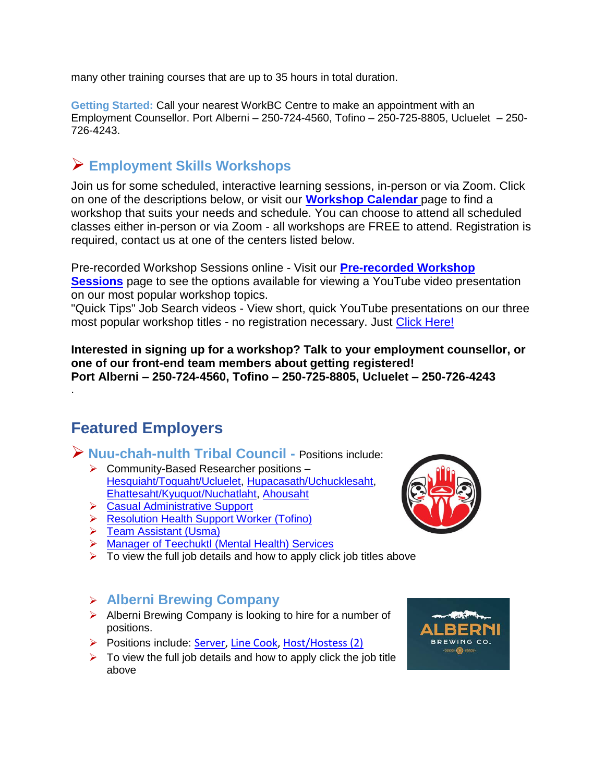many other training courses that are up to 35 hours in total duration.

**Getting Started:** Call your nearest WorkBC Centre to make an appointment with an Employment Counsellor. Port Alberni – 250-724-4560, Tofino – 250-725-8805, Ucluelet – 250- 726-4243.

## **Employment Skills Workshops**

Join us for some scheduled, interactive learning sessions, in-person or via Zoom. Click on one of the descriptions below, or visit our **[Workshop Calendar](https://www.avemployment.ca/workshop-schedule/2022-06)** page to find a workshop that suits your needs and schedule. You can choose to attend all scheduled classes either in-person or via Zoom - all workshops are FREE to attend. Registration is required, contact us at one of the centers listed below.

Pre-recorded Workshop Sessions online - Visit our **[Pre-recorded Workshop](https://avemployment.ca/online-skills-building-sessions)  [Sessions](https://avemployment.ca/online-skills-building-sessions)** page to see the options available for viewing a YouTube video presentation on our most popular workshop topics.

"Quick Tips" Job Search videos - View short, quick YouTube presentations on our three most popular workshop titles - no registration necessary. Just [Click Here!](https://avemployment.ca/job-search-quick-tips-videos)

**Interested in signing up for a workshop? Talk to your employment counsellor, or one of our front-end team members about getting registered! Port Alberni – 250-724-4560, Tofino – 250-725-8805, Ucluelet – 250-726-4243** 

## **Featured Employers**

.

**Nuu-chah-nulth Tribal Council -** Positions include:

- ▶ Community-Based Researcher positions [Hesquiaht/Toquaht/Ucluelet,](https://www.avemployment.ca/sites/default/files/Community%20Based%20Researcher%20-%20Hesquiaht-Toquaht-Ucluelet.pdf) [Hupacasath/Uchucklesaht,](https://www.avemployment.ca/sites/default/files/Community%20Based%20Researcher%20-%20Hupacasath-Uchucklesaht.pdf) [Ehattesaht/Kyuquot/Nuchatlaht,](https://www.avemployment.ca/sites/default/files/Community%20Based%20Researcher%20-%20%20Ehattesaht-Kyuquot-Nuchatlaht.pdf) [Ahousaht](https://www.avemployment.ca/sites/default/files/Community%20Based%20Researcher%20-%20Ahousaht.pdf)
- **► [Casual Administrative Support](https://www.avemployment.ca/sites/default/files/External%20Posting%20-%20Casual%20Admin%20Main%20SR%202021-06-16_0.pdf)**
- **EXECUTE:** [Resolution Health Support Worker \(Tofino\)](https://ca.indeed.com/viewjob?jk=79add7600474462b&l=Tofino,+BC&tk=1g2rd9vilgtq7805&from=ja&alid=61732e4ef0701c190d70d08e&utm_campaign=job_alerts&utm_medium=email&utm_source=jobseeker_emails&rgtk=1g2rd9vilgtq7805)
- **▶ [Team Assistant \(Usma\)](https://www.avemployment.ca/sites/default/files/External%20Posting%20-%20Team%20Assistants%20%28Usma%29%20-%20Revised_0.pdf)**
- > [Manager of Teechuktl \(Mental Health\) Services](https://www.avemployment.ca/sites/default/files/External%20Posting%20-%20Manager%20of%20Teechuktl%20%28Mental%20Health%29_4.pdf)
- $\triangleright$  To view the full job details and how to apply click job titles above

### **Alberni Brewing Company**

- $\triangleright$  Alberni Brewing Company is looking to hire for a number of positions.
- Positions include: [Server,](https://www.avemployment.ca/job-posting/22467) [Line Cook,](https://www.avemployment.ca/job-posting/22578) [Host/Hostess \(2\)](https://www.avemployment.ca/job-posting/26049)
- $\triangleright$  To view the full job details and how to apply click the job title above